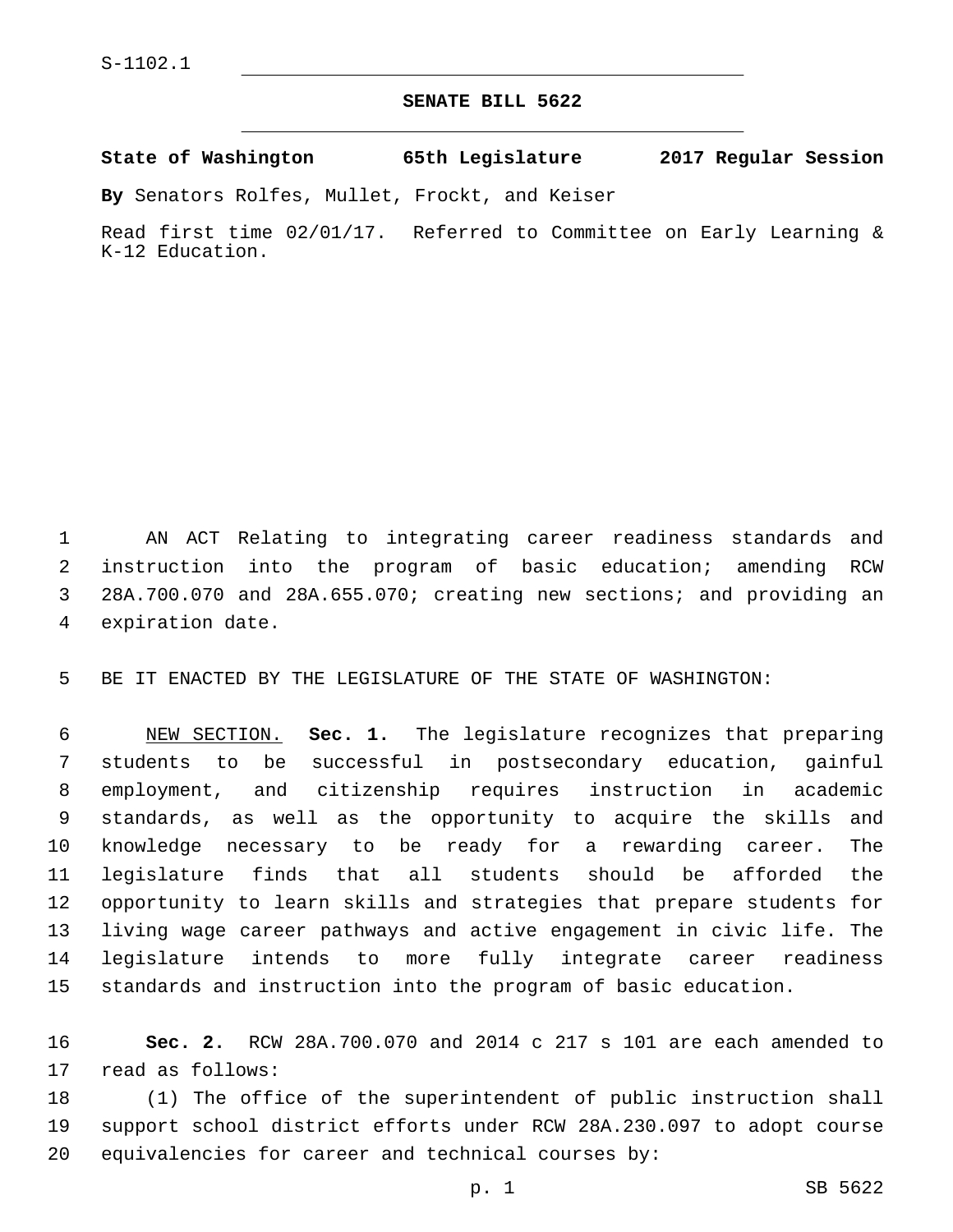## **SENATE BILL 5622**

**State of Washington 65th Legislature 2017 Regular Session**

**By** Senators Rolfes, Mullet, Frockt, and Keiser

Read first time 02/01/17. Referred to Committee on Early Learning & K-12 Education.

 AN ACT Relating to integrating career readiness standards and instruction into the program of basic education; amending RCW 28A.700.070 and 28A.655.070; creating new sections; and providing an 4 expiration date.

BE IT ENACTED BY THE LEGISLATURE OF THE STATE OF WASHINGTON:

 NEW SECTION. **Sec. 1.** The legislature recognizes that preparing students to be successful in postsecondary education, gainful employment, and citizenship requires instruction in academic standards, as well as the opportunity to acquire the skills and knowledge necessary to be ready for a rewarding career. The legislature finds that all students should be afforded the opportunity to learn skills and strategies that prepare students for living wage career pathways and active engagement in civic life. The legislature intends to more fully integrate career readiness standards and instruction into the program of basic education.

 **Sec. 2.** RCW 28A.700.070 and 2014 c 217 s 101 are each amended to 17 read as follows:

 (1) The office of the superintendent of public instruction shall support school district efforts under RCW 28A.230.097 to adopt course equivalencies for career and technical courses by: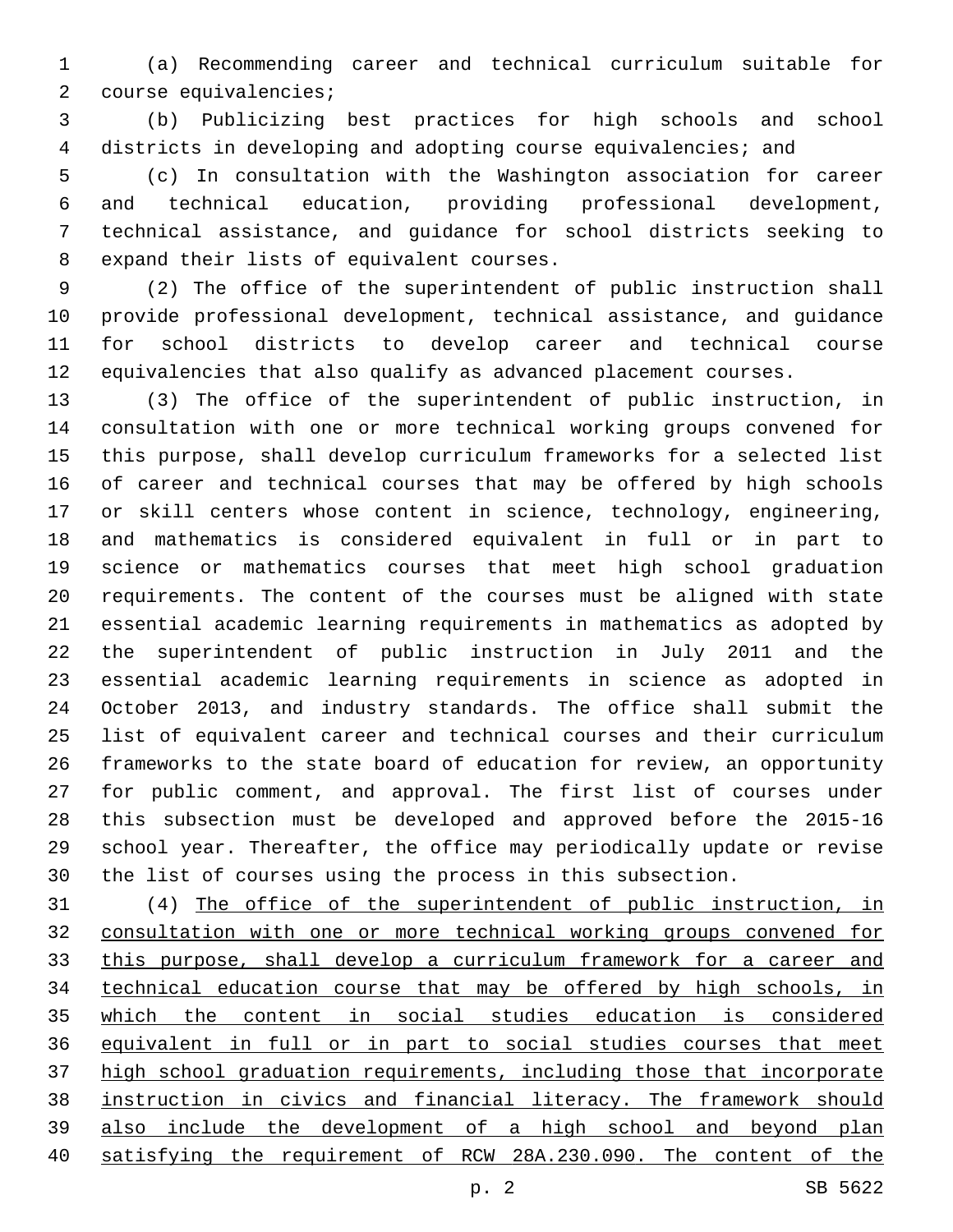(a) Recommending career and technical curriculum suitable for 2 course equivalencies;

 (b) Publicizing best practices for high schools and school districts in developing and adopting course equivalencies; and

 (c) In consultation with the Washington association for career and technical education, providing professional development, technical assistance, and guidance for school districts seeking to 8 expand their lists of equivalent courses.

 (2) The office of the superintendent of public instruction shall provide professional development, technical assistance, and guidance for school districts to develop career and technical course equivalencies that also qualify as advanced placement courses.

 (3) The office of the superintendent of public instruction, in consultation with one or more technical working groups convened for this purpose, shall develop curriculum frameworks for a selected list of career and technical courses that may be offered by high schools or skill centers whose content in science, technology, engineering, and mathematics is considered equivalent in full or in part to science or mathematics courses that meet high school graduation requirements. The content of the courses must be aligned with state essential academic learning requirements in mathematics as adopted by the superintendent of public instruction in July 2011 and the essential academic learning requirements in science as adopted in October 2013, and industry standards. The office shall submit the list of equivalent career and technical courses and their curriculum frameworks to the state board of education for review, an opportunity for public comment, and approval. The first list of courses under this subsection must be developed and approved before the 2015-16 school year. Thereafter, the office may periodically update or revise the list of courses using the process in this subsection.

 (4) The office of the superintendent of public instruction, in consultation with one or more technical working groups convened for 33 this purpose, shall develop a curriculum framework for a career and technical education course that may be offered by high schools, in which the content in social studies education is considered equivalent in full or in part to social studies courses that meet high school graduation requirements, including those that incorporate instruction in civics and financial literacy. The framework should also include the development of a high school and beyond plan satisfying the requirement of RCW 28A.230.090. The content of the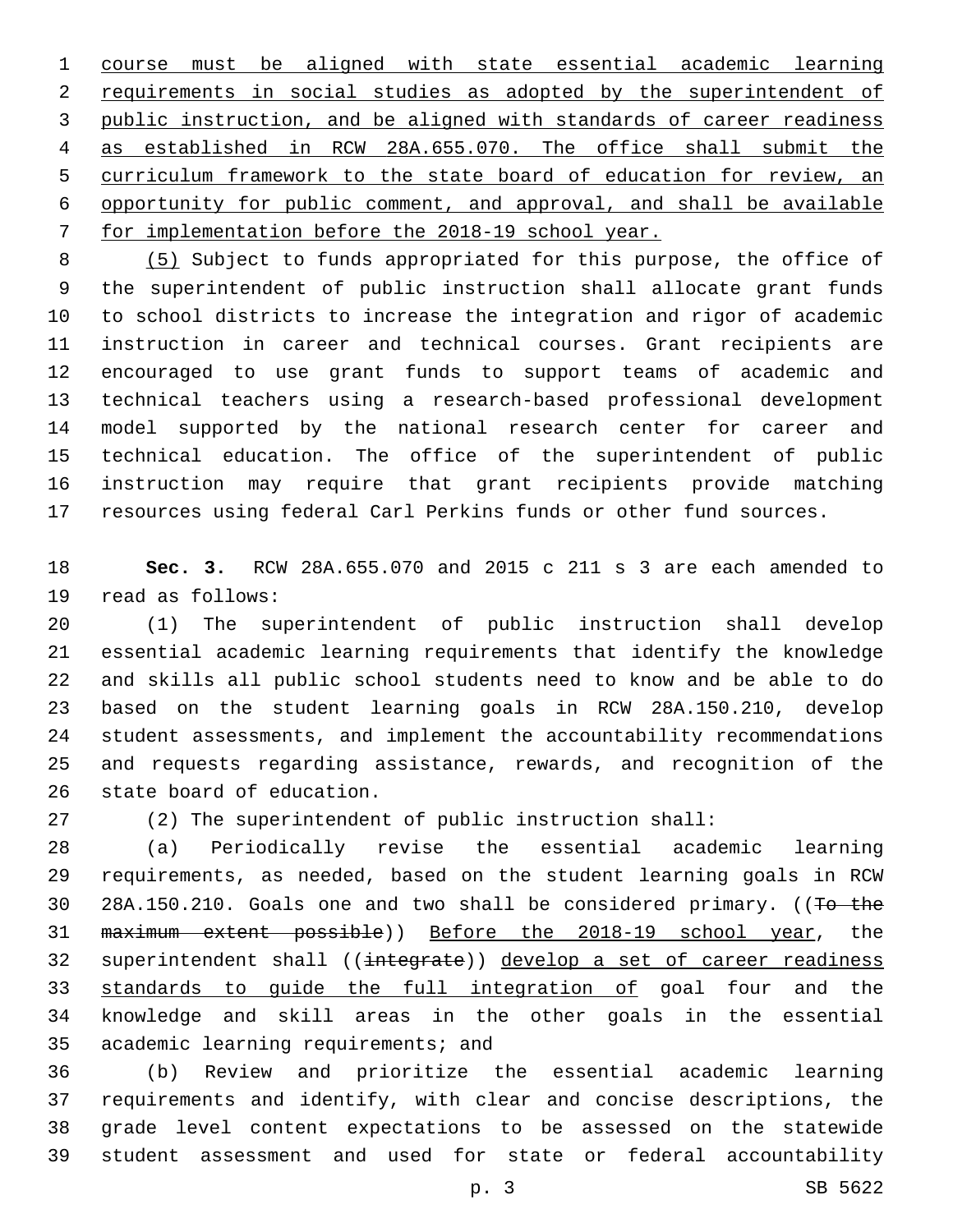course must be aligned with state essential academic learning requirements in social studies as adopted by the superintendent of public instruction, and be aligned with standards of career readiness as established in RCW 28A.655.070. The office shall submit the curriculum framework to the state board of education for review, an opportunity for public comment, and approval, and shall be available 7 for implementation before the 2018-19 school year.

 (5) Subject to funds appropriated for this purpose, the office of the superintendent of public instruction shall allocate grant funds to school districts to increase the integration and rigor of academic instruction in career and technical courses. Grant recipients are encouraged to use grant funds to support teams of academic and technical teachers using a research-based professional development model supported by the national research center for career and technical education. The office of the superintendent of public instruction may require that grant recipients provide matching resources using federal Carl Perkins funds or other fund sources.

 **Sec. 3.** RCW 28A.655.070 and 2015 c 211 s 3 are each amended to 19 read as follows:

 (1) The superintendent of public instruction shall develop essential academic learning requirements that identify the knowledge and skills all public school students need to know and be able to do based on the student learning goals in RCW 28A.150.210, develop student assessments, and implement the accountability recommendations and requests regarding assistance, rewards, and recognition of the 26 state board of education.

(2) The superintendent of public instruction shall:

 (a) Periodically revise the essential academic learning requirements, as needed, based on the student learning goals in RCW 30 28A.150.210. Goals one and two shall be considered primary. ((To the maximum extent possible)) Before the 2018-19 school year, the 32 superintendent shall ((integrate)) develop a set of career readiness 33 standards to guide the full integration of goal four and the knowledge and skill areas in the other goals in the essential 35 academic learning requirements; and

 (b) Review and prioritize the essential academic learning requirements and identify, with clear and concise descriptions, the grade level content expectations to be assessed on the statewide student assessment and used for state or federal accountability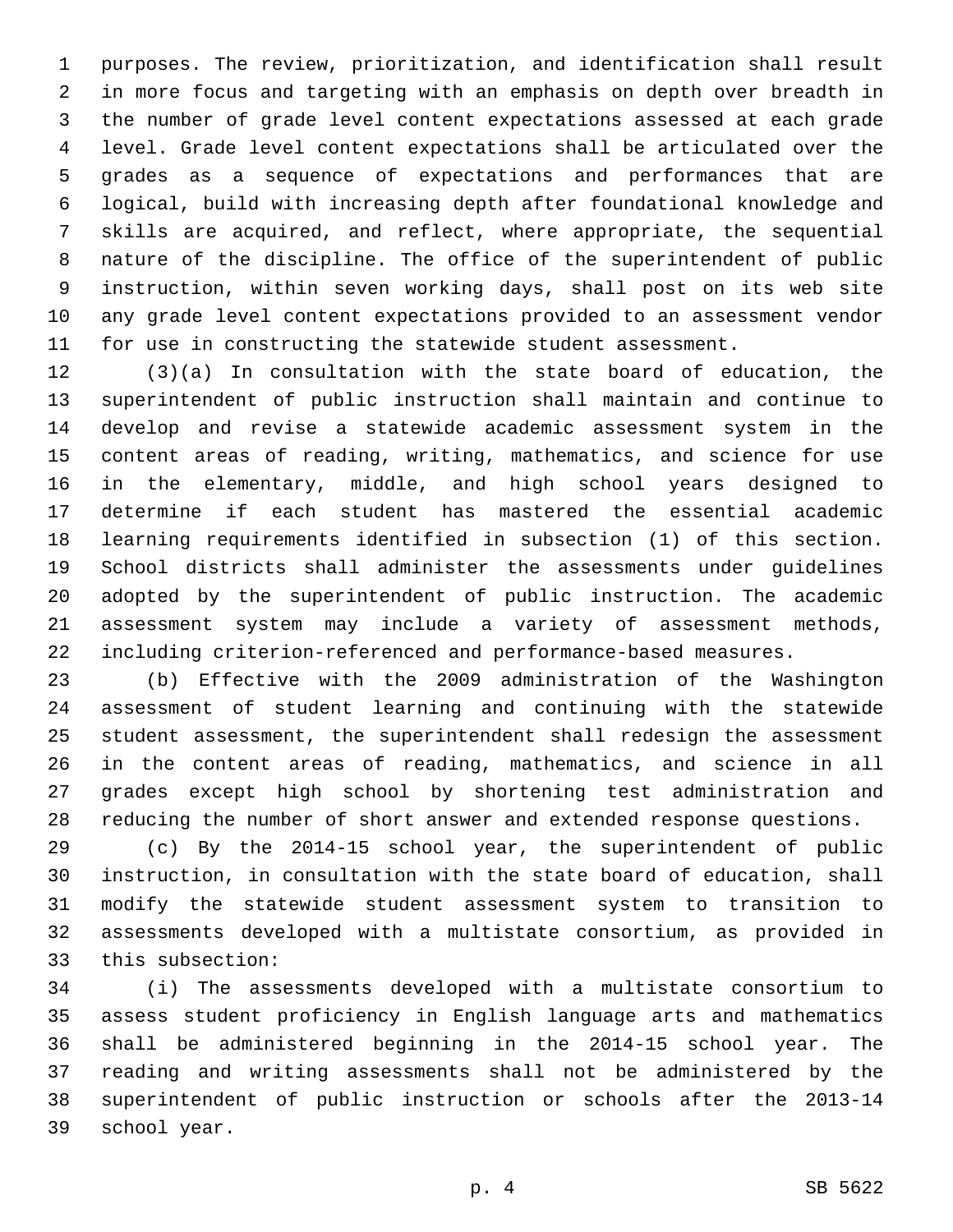purposes. The review, prioritization, and identification shall result in more focus and targeting with an emphasis on depth over breadth in the number of grade level content expectations assessed at each grade level. Grade level content expectations shall be articulated over the grades as a sequence of expectations and performances that are logical, build with increasing depth after foundational knowledge and skills are acquired, and reflect, where appropriate, the sequential nature of the discipline. The office of the superintendent of public instruction, within seven working days, shall post on its web site any grade level content expectations provided to an assessment vendor for use in constructing the statewide student assessment.

 (3)(a) In consultation with the state board of education, the superintendent of public instruction shall maintain and continue to develop and revise a statewide academic assessment system in the content areas of reading, writing, mathematics, and science for use in the elementary, middle, and high school years designed to determine if each student has mastered the essential academic learning requirements identified in subsection (1) of this section. School districts shall administer the assessments under guidelines adopted by the superintendent of public instruction. The academic assessment system may include a variety of assessment methods, including criterion-referenced and performance-based measures.

 (b) Effective with the 2009 administration of the Washington assessment of student learning and continuing with the statewide student assessment, the superintendent shall redesign the assessment in the content areas of reading, mathematics, and science in all grades except high school by shortening test administration and reducing the number of short answer and extended response questions.

 (c) By the 2014-15 school year, the superintendent of public instruction, in consultation with the state board of education, shall modify the statewide student assessment system to transition to assessments developed with a multistate consortium, as provided in 33 this subsection:

 (i) The assessments developed with a multistate consortium to assess student proficiency in English language arts and mathematics shall be administered beginning in the 2014-15 school year. The reading and writing assessments shall not be administered by the superintendent of public instruction or schools after the 2013-14 39 school year.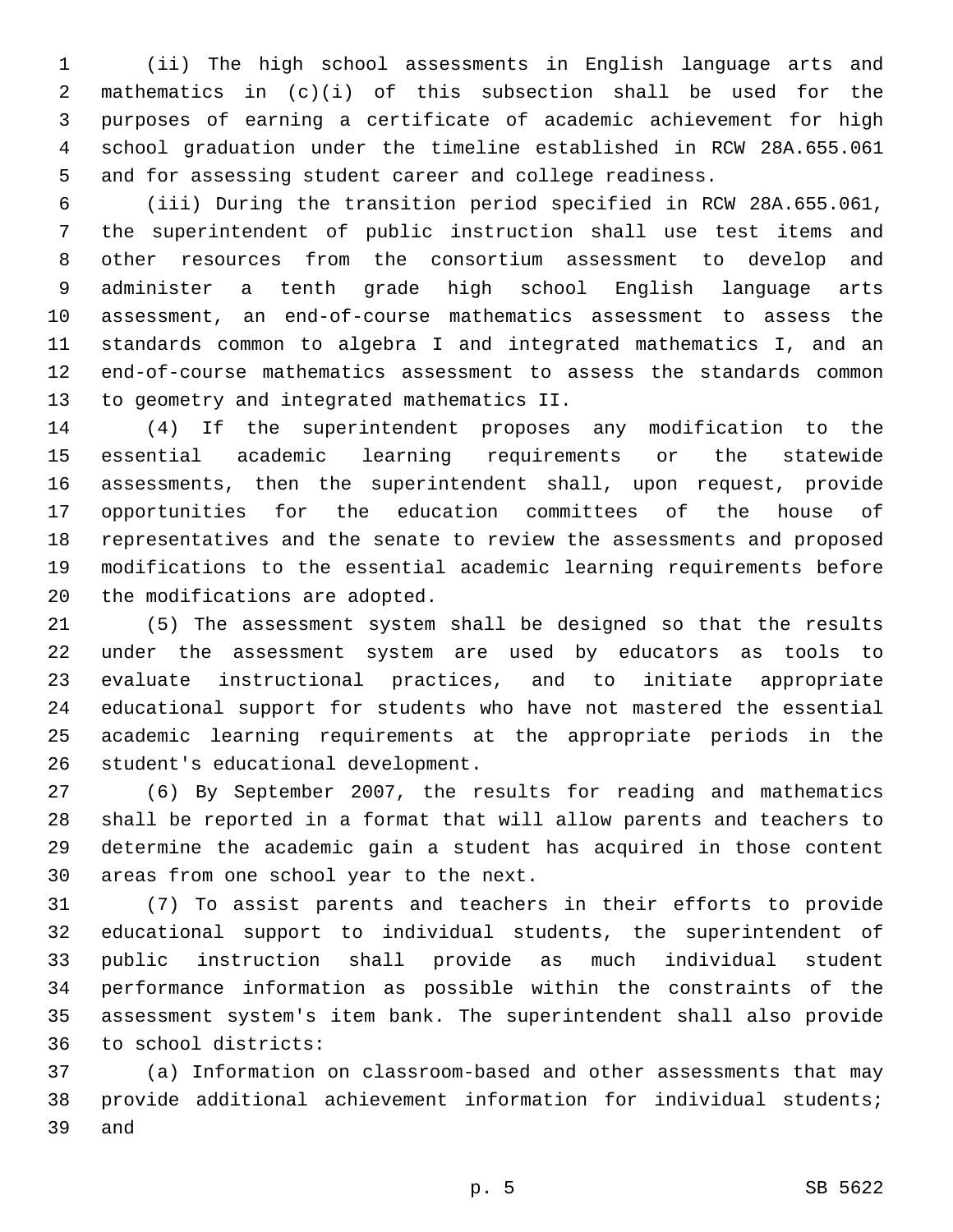(ii) The high school assessments in English language arts and mathematics in (c)(i) of this subsection shall be used for the purposes of earning a certificate of academic achievement for high school graduation under the timeline established in RCW 28A.655.061 and for assessing student career and college readiness.

 (iii) During the transition period specified in RCW 28A.655.061, the superintendent of public instruction shall use test items and other resources from the consortium assessment to develop and administer a tenth grade high school English language arts assessment, an end-of-course mathematics assessment to assess the standards common to algebra I and integrated mathematics I, and an end-of-course mathematics assessment to assess the standards common 13 to geometry and integrated mathematics II.

 (4) If the superintendent proposes any modification to the essential academic learning requirements or the statewide assessments, then the superintendent shall, upon request, provide opportunities for the education committees of the house of representatives and the senate to review the assessments and proposed modifications to the essential academic learning requirements before 20 the modifications are adopted.

 (5) The assessment system shall be designed so that the results under the assessment system are used by educators as tools to evaluate instructional practices, and to initiate appropriate educational support for students who have not mastered the essential academic learning requirements at the appropriate periods in the 26 student's educational development.

 (6) By September 2007, the results for reading and mathematics shall be reported in a format that will allow parents and teachers to determine the academic gain a student has acquired in those content 30 areas from one school year to the next.

 (7) To assist parents and teachers in their efforts to provide educational support to individual students, the superintendent of public instruction shall provide as much individual student performance information as possible within the constraints of the assessment system's item bank. The superintendent shall also provide 36 to school districts:

 (a) Information on classroom-based and other assessments that may provide additional achievement information for individual students; 39 and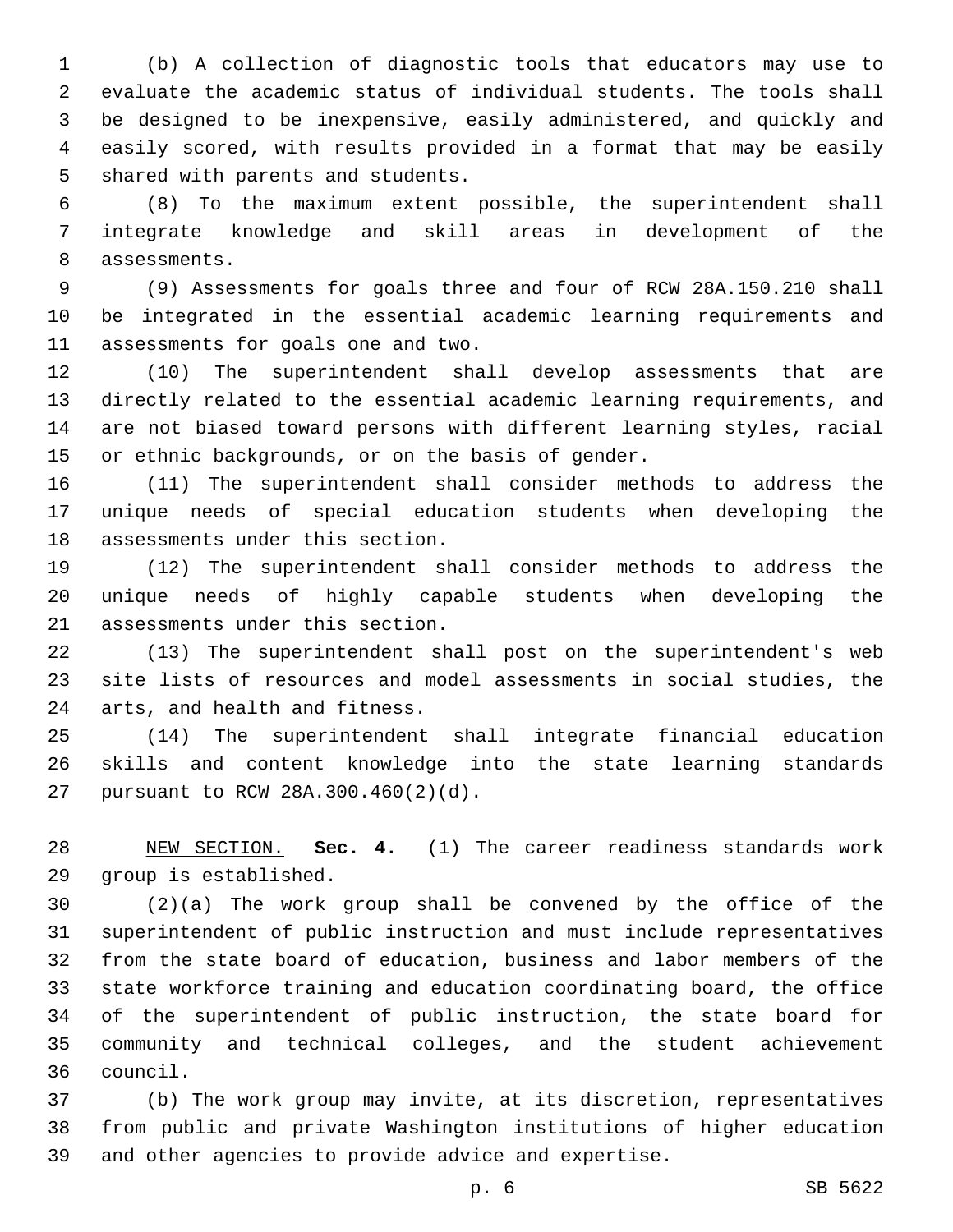(b) A collection of diagnostic tools that educators may use to evaluate the academic status of individual students. The tools shall be designed to be inexpensive, easily administered, and quickly and easily scored, with results provided in a format that may be easily 5 shared with parents and students.

 (8) To the maximum extent possible, the superintendent shall integrate knowledge and skill areas in development of the 8 assessments.

 (9) Assessments for goals three and four of RCW 28A.150.210 shall be integrated in the essential academic learning requirements and 11 assessments for goals one and two.

 (10) The superintendent shall develop assessments that are directly related to the essential academic learning requirements, and are not biased toward persons with different learning styles, racial 15 or ethnic backgrounds, or on the basis of gender.

 (11) The superintendent shall consider methods to address the unique needs of special education students when developing the 18 assessments under this section.

 (12) The superintendent shall consider methods to address the unique needs of highly capable students when developing the 21 assessments under this section.

 (13) The superintendent shall post on the superintendent's web site lists of resources and model assessments in social studies, the 24 arts, and health and fitness.

 (14) The superintendent shall integrate financial education skills and content knowledge into the state learning standards 27 pursuant to RCW 28A.300.460(2)(d).

 NEW SECTION. **Sec. 4.** (1) The career readiness standards work group is established.

 (2)(a) The work group shall be convened by the office of the superintendent of public instruction and must include representatives from the state board of education, business and labor members of the state workforce training and education coordinating board, the office of the superintendent of public instruction, the state board for community and technical colleges, and the student achievement council.36

 (b) The work group may invite, at its discretion, representatives from public and private Washington institutions of higher education and other agencies to provide advice and expertise.